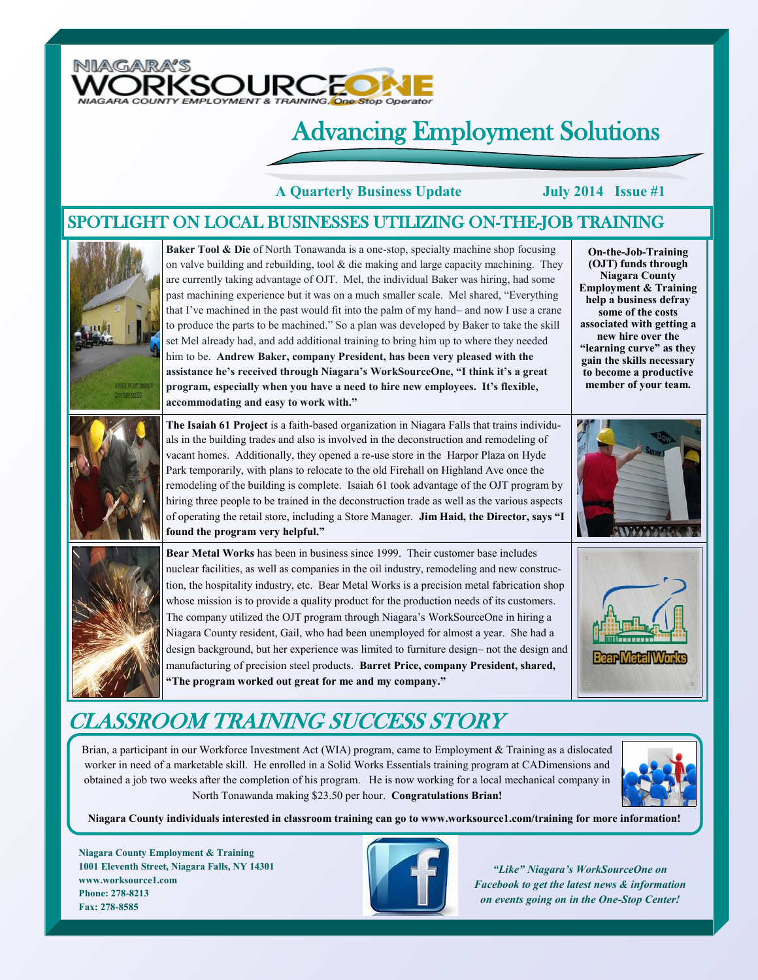

## Advancing Employment Solutions

**A Quarterly Business Update July 2014 Issue #1**

#### SPOTLIGHT ON LOCAL BUSINESSES UTILIZING ON-THE-JOB TRAINING



## CLASSROOM TRAINING SUCCESS STORY

Brian, a participant in our Workforce Investment Act (WIA) program, came to Employment & Training as a dislocated worker in need of a marketable skill. He enrolled in a Solid Works Essentials training program at CADimensions and obtained a job two weeks after the completion of his program. He is now working for a local mechanical company in North Tonawanda making \$23.50 per hour. **Congratulations Brian!** 



**Niagara County individuals interested in classroom training can go to www.worksource1.com/training for more information!**

**Niagara County Employment & Training 1001 Eleventh Street, Niagara Falls, NY 14301 www.worksource1.com Phone: 278-8213 Fax: 278-8585**



*"Like" Niagara's WorkSourceOne on Facebook to get the latest news & information on events going on in the One-Stop Center!*